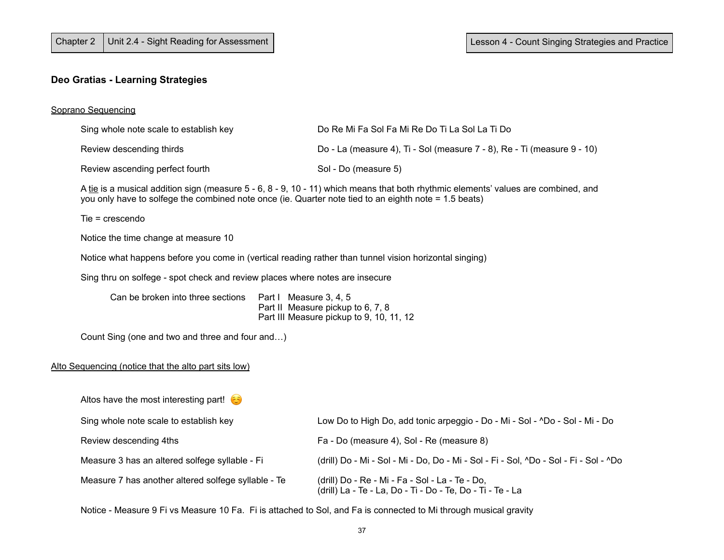# **Deo Gratias - Learning Strategies**

# Soprano Sequencing

| Sing whole note scale to establish key                                                                                                                                                                                                      |  | Do Re Mi Fa Sol Fa Mi Re Do Ti La Sol La Ti Do                                                                |  |  |
|---------------------------------------------------------------------------------------------------------------------------------------------------------------------------------------------------------------------------------------------|--|---------------------------------------------------------------------------------------------------------------|--|--|
| Review descending thirds                                                                                                                                                                                                                    |  | Do - La (measure 4), Ti - Sol (measure 7 - 8), Re - Ti (measure 9 - 10)                                       |  |  |
| Review ascending perfect fourth                                                                                                                                                                                                             |  | Sol - Do (measure 5)                                                                                          |  |  |
| A tie is a musical addition sign (measure 5 - 6, 8 - 9, 10 - 11) which means that both rhythmic elements' values are combined, and<br>you only have to solfege the combined note once (ie. Quarter note tied to an eighth note = 1.5 beats) |  |                                                                                                               |  |  |
| $Tie = crescendo$                                                                                                                                                                                                                           |  |                                                                                                               |  |  |
| Notice the time change at measure 10                                                                                                                                                                                                        |  |                                                                                                               |  |  |
| Notice what happens before you come in (vertical reading rather than tunnel vision horizontal singing)                                                                                                                                      |  |                                                                                                               |  |  |
| Sing thru on solfege - spot check and review places where notes are insecure                                                                                                                                                                |  |                                                                                                               |  |  |
| Can be broken into three sections<br>Part I Measure 3, 4, 5<br>Part II Measure pickup to 6, 7, 8<br>Part III Measure pickup to 9, 10, 11, 12                                                                                                |  |                                                                                                               |  |  |
| Count Sing (one and two and three and four and)                                                                                                                                                                                             |  |                                                                                                               |  |  |
| Alto Sequencing (notice that the alto part sits low)                                                                                                                                                                                        |  |                                                                                                               |  |  |
| Altos have the most interesting part! $\bigodot$                                                                                                                                                                                            |  |                                                                                                               |  |  |
| Sing whole note scale to establish key                                                                                                                                                                                                      |  | Low Do to High Do, add tonic arpeggio - Do - Mi - Sol - ^Do - Sol - Mi - Do                                   |  |  |
| Review descending 4ths                                                                                                                                                                                                                      |  | Fa - Do (measure 4), Sol - Re (measure 8)                                                                     |  |  |
| Measure 3 has an altered solfege syllable - Fi                                                                                                                                                                                              |  | (drill) Do - Mi - Sol - Mi - Do, Do - Mi - Sol - Fi - Sol, ^Do - Sol - Fi - Sol - ^Do                         |  |  |
| Measure 7 has another altered solfege syllable - Te                                                                                                                                                                                         |  | (drill) Do - Re - Mi - Fa - Sol - La - Te - Do,<br>(drill) La - Te - La, Do - Ti - Do - Te, Do - Ti - Te - La |  |  |
|                                                                                                                                                                                                                                             |  |                                                                                                               |  |  |

Notice - Measure 9 Fi vs Measure 10 Fa. Fi is attached to Sol, and Fa is connected to Mi through musical gravity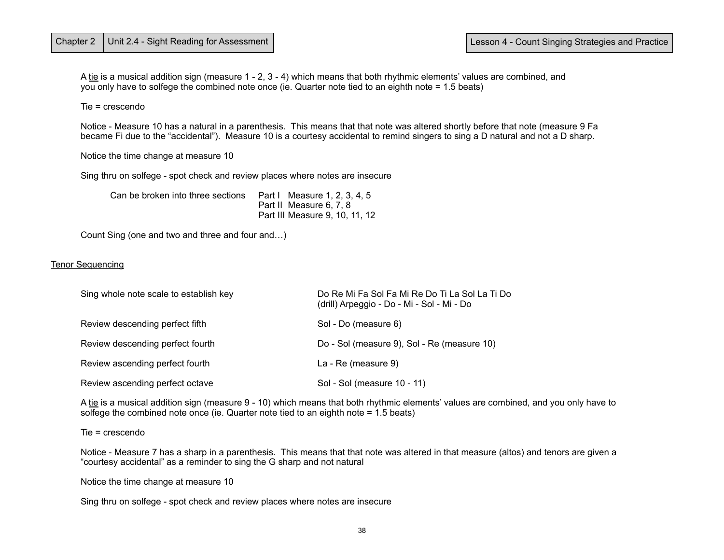A tie is a musical addition sign (measure 1 - 2, 3 - 4) which means that both rhythmic elements' values are combined, and you only have to solfege the combined note once (ie. Quarter note tied to an eighth note = 1.5 beats)

Tie = crescendo

 Notice - Measure 10 has a natural in a parenthesis. This means that that note was altered shortly before that note (measure 9 Fa became Fi due to the "accidental"). Measure 10 is a courtesy accidental to remind singers to sing a D natural and not a D sharp.

Notice the time change at measure 10

Sing thru on solfege - spot check and review places where notes are insecure

| Can be broken into three sections | Part   Measure 1, 2, 3, 4, 5   |
|-----------------------------------|--------------------------------|
|                                   | Part II Measure 6, 7, 8        |
|                                   | Part III Measure 9, 10, 11, 12 |

Count Sing (one and two and three and four and…)

#### Tenor Sequencing

| Sing whole note scale to establish key | Do Re Mi Fa Sol Fa Mi Re Do Ti La Sol La Ti Do<br>(drill) Arpeggio - Do - Mi - Sol - Mi - Do |
|----------------------------------------|----------------------------------------------------------------------------------------------|
| Review descending perfect fifth        | Sol - Do (measure 6)                                                                         |
| Review descending perfect fourth       | Do - Sol (measure 9), Sol - Re (measure 10)                                                  |
| Review ascending perfect fourth        | La - Re (measure 9)                                                                          |
| Review ascending perfect octave        | Sol - Sol (measure 10 - 11)                                                                  |

 A tie is a musical addition sign (measure 9 - 10) which means that both rhythmic elements' values are combined, and you only have to solfege the combined note once (ie. Quarter note tied to an eighth note = 1.5 beats)

Tie = crescendo

 Notice - Measure 7 has a sharp in a parenthesis. This means that that note was altered in that measure (altos) and tenors are given a "courtesy accidental" as a reminder to sing the G sharp and not natural

Notice the time change at measure 10

Sing thru on solfege - spot check and review places where notes are insecure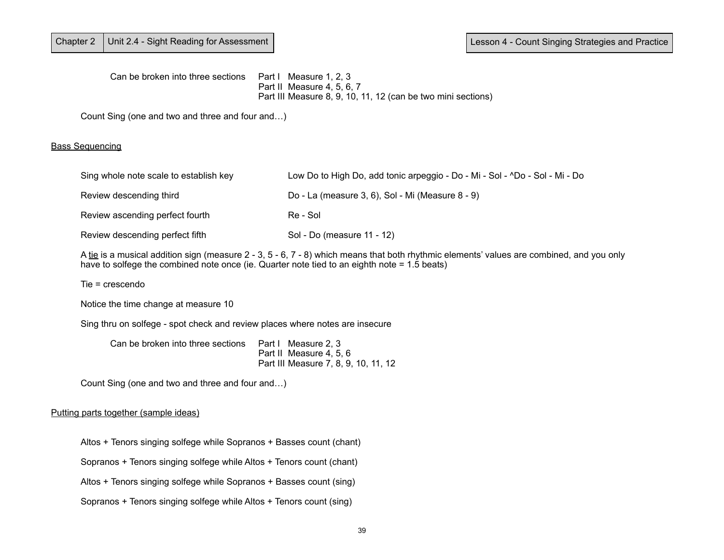Can be broken into three sections Part I Measure 1, 2, 3 Part II Measure 4, 5, 6, 7 Part III Measure 8, 9, 10, 11, 12 (can be two mini sections)

Count Sing (one and two and three and four and…)

## Bass Sequencing

| Sing whole note scale to establish key | Low Do to High Do, add tonic arpeggio - Do - Mi - Sol - ^Do - Sol - Mi - Do |
|----------------------------------------|-----------------------------------------------------------------------------|
| Review descending third                | Do - La (measure 3, 6), Sol - Mi (Measure 8 - 9)                            |
| Review ascending perfect fourth        | Re - Sol                                                                    |
| Review descending perfect fifth        | Sol - Do (measure 11 - 12)                                                  |

A tie is a musical addition sign (measure 2 - 3, 5 - 6, 7 - 8) which means that both rhythmic elements' values are combined, and you only have to solfege the combined note once (ie. Quarter note tied to an eighth note = 1.5 beats)

Tie = crescendo

Notice the time change at measure 10

Sing thru on solfege - spot check and review places where notes are insecure

| Can be broken into three sections  Part I Measure 2, 3 |                                      |
|--------------------------------------------------------|--------------------------------------|
|                                                        | Part II Measure 4, 5, 6              |
|                                                        | Part III Measure 7, 8, 9, 10, 11, 12 |

Count Sing (one and two and three and four and…)

### Putting parts together (sample ideas)

Altos + Tenors singing solfege while Sopranos + Basses count (chant)

Sopranos + Tenors singing solfege while Altos + Tenors count (chant)

Altos + Tenors singing solfege while Sopranos + Basses count (sing)

Sopranos + Tenors singing solfege while Altos + Tenors count (sing)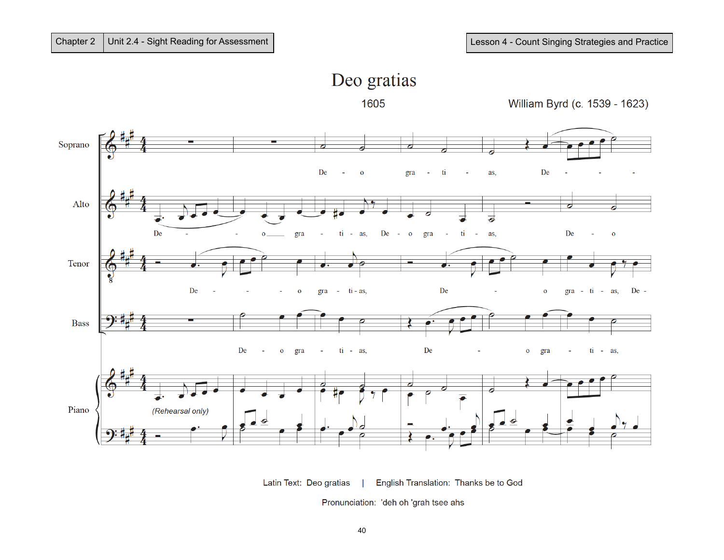

Latin Text: Deo gratias English Translation: Thanks be to God

Pronunciation: 'deh oh 'grah tsee ahs